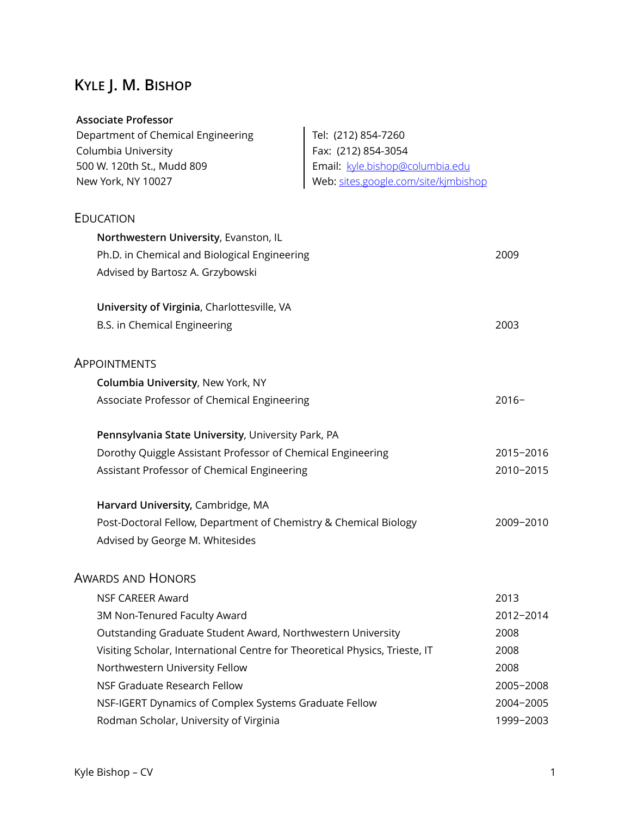# **KYLE J. M. BISHOP**

## **Associate Professor**

| Department of Chemical Engineering                                          | Tel: (212) 854-7260                  |           |
|-----------------------------------------------------------------------------|--------------------------------------|-----------|
| Columbia University                                                         | Fax: (212) 854-3054                  |           |
| 500 W. 120th St., Mudd 809                                                  | Email: kyle.bishop@columbia.edu      |           |
| New York, NY 10027                                                          | Web: sites.google.com/site/kjmbishop |           |
| EDUCATION                                                                   |                                      |           |
| Northwestern University, Evanston, IL                                       |                                      |           |
| Ph.D. in Chemical and Biological Engineering                                |                                      | 2009      |
| Advised by Bartosz A. Grzybowski                                            |                                      |           |
| University of Virginia, Charlottesville, VA                                 |                                      |           |
| B.S. in Chemical Engineering                                                |                                      | 2003      |
| <b>APPOINTMENTS</b>                                                         |                                      |           |
| Columbia University, New York, NY                                           |                                      |           |
| Associate Professor of Chemical Engineering                                 |                                      | $2016 -$  |
| Pennsylvania State University, University Park, PA                          |                                      |           |
| Dorothy Quiggle Assistant Professor of Chemical Engineering                 |                                      | 2015-2016 |
| Assistant Professor of Chemical Engineering                                 |                                      | 2010-2015 |
| Harvard University, Cambridge, MA                                           |                                      |           |
| Post-Doctoral Fellow, Department of Chemistry & Chemical Biology            |                                      | 2009-2010 |
| Advised by George M. Whitesides                                             |                                      |           |
| <b>AWARDS AND HONORS</b>                                                    |                                      |           |
| <b>NSF CAREER Award</b>                                                     |                                      | 2013      |
| 3M Non-Tenured Faculty Award                                                |                                      | 2012-2014 |
| Outstanding Graduate Student Award, Northwestern University                 |                                      | 2008      |
| Visiting Scholar, International Centre for Theoretical Physics, Trieste, IT |                                      | 2008      |
| Northwestern University Fellow                                              |                                      | 2008      |
| NSF Graduate Research Fellow                                                |                                      | 2005-2008 |
| NSF-IGERT Dynamics of Complex Systems Graduate Fellow                       |                                      | 2004-2005 |
| Rodman Scholar, University of Virginia                                      |                                      | 1999-2003 |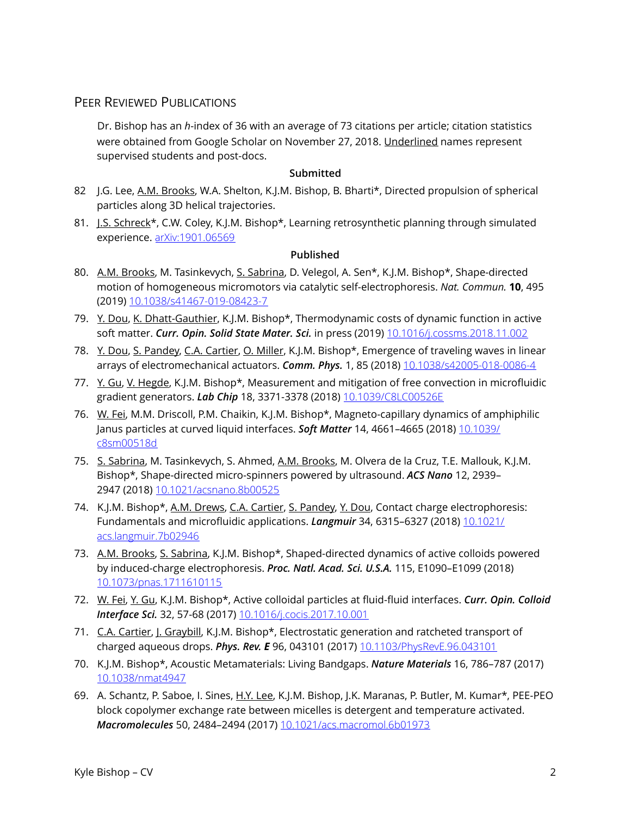## PEER REVIEWED PUBLICATIONS

Dr. Bishop has an *h*-index of 36 with an average of 73 citations per article; citation statistics were obtained from Google Scholar on November 27, 2018. Underlined names represent supervised students and post-docs.

#### **Submitted**

- 82 J.G. Lee, A.M. Brooks, W.A. Shelton, K.J.M. Bishop, B. Bharti\*, Directed propulsion of spherical particles along 3D helical trajectories.
- 81. J.S. Schreck\*, C.W. Coley, K.J.M. Bishop\*, Learning retrosynthetic planning through simulated experience. [arXiv:1901.06569](https://arxiv.org/abs/1901.06569)

#### **Published**

- 80. A.M. Brooks, M. Tasinkevych, S. Sabrina, D. Velegol, A. Sen\*, K.J.M. Bishop\*, Shape-directed motion of homogeneous micromotors via catalytic self-electrophoresis. *Nat. Commun.* **10**, 495 (2019) [10.1038/s41467-019-08423-7](http://doi.org/10.1038/s41467-019-08423-7)
- 79. Y. Dou, K. Dhatt-Gauthier, K.J.M. Bishop\*, Thermodynamic costs of dynamic function in active soft matter. *Curr. Opin. Solid State Mater. Sci.* in press (2019) [10.1016/j.cossms.2018.11.002](http://doi.org/10.1016/j.cossms.2018.11.002)
- 78. Y. Dou, S. Pandey, C.A. Cartier, O. Miller, K.J.M. Bishop\*, Emergence of traveling waves in linear arrays of electromechanical actuators. *Comm. Phys.* 1, 85 (2018) [10.1038/s42005-018-0086-4](https://doi.org/10.1038/s42005-018-0086-4)
- 77. Y. Gu, V. Hegde, K.J.M. Bishop\*, Measurement and mitigation of free convection in microfluidic gradient generators. *Lab Chip* 18, 3371-3378 (2018) [10.1039/C8LC00526E](http://doi.org/10.1039/C8LC00526E)
- 76. W. Fei, M.M. Driscoll, P.M. Chaikin, K.J.M. Bishop\*, Magneto-capillary dynamics of amphiphilic Janus particles at curved liquid interfaces. *Soft Matter* 14, 4661–4665 (2018) [10.1039/](https://doi.org/10.1039/c8sm00518d) [c8sm00518d](https://doi.org/10.1039/c8sm00518d)
- 75. S. Sabrina, M. Tasinkevych, S. Ahmed, A.M. Brooks, M. Olvera de la Cruz, T.E. Mallouk, K.J.M. Bishop\*, Shape-directed micro-spinners powered by ultrasound. *ACS Nano* 12, 2939– 2947 (2018) [10.1021/acsnano.8b00525](https://doi.org/10.1021/acsnano.8b00525)
- 74. K.J.M. Bishop\*, A.M. Drews, C.A. Cartier, S. Pandey, Y. Dou, Contact charge electrophoresis: Fundamentals and microfluidic applications. *Langmuir* 34, 6315–6327 (2018) [10.1021/](https://doi.org/10.1021/acs.langmuir.7b02946) [acs.langmuir.7b02946](https://doi.org/10.1021/acs.langmuir.7b02946)
- 73. A.M. Brooks, S. Sabrina, K.J.M. Bishop\*, Shaped-directed dynamics of active colloids powered by induced-charge electrophoresis. *Proc. Natl. Acad. Sci. U.S.A.* 115, E1090–E1099 (2018) [10.1073/pnas.1711610115](https://doi.org/10.1073/pnas.1711610115)
- 72. W. Fei, Y. Gu, K.J.M. Bishop\*, Active colloidal particles at fluid-fluid interfaces. *Curr. Opin. Colloid Interface Sci.* 32, 57-68 (2017) [10.1016/j.cocis.2017.10.001](https://doi.org/10.1016/j.cocis.2017.10.001)
- 71. C.A. Cartier, J. Graybill, K.J.M. Bishop\*, Electrostatic generation and ratcheted transport of charged aqueous drops. *Phys. Rev. E* 96, 043101 (2017) [10.1103/PhysRevE.96.043101](https://doi.org/10.1103/PhysRevE.96.043101)
- 70. K.J.M. Bishop\*, Acoustic Metamaterials: Living Bandgaps. *Nature Materials* 16, 786–787 (2017) [10.1038/nmat4947](http://doi.org/10.1038/nmat4947)
- 69. A. Schantz, P. Saboe, I. Sines, H.Y. Lee, K.J.M. Bishop, J.K. Maranas, P. Butler, M. Kumar\*, PEE-PEO block copolymer exchange rate between micelles is detergent and temperature activated. *Macromolecules* 50, 2484–2494 (2017) [10.1021/acs.macromol.6b01973](http://doi.org/10.1021/acs.macromol.6b01973)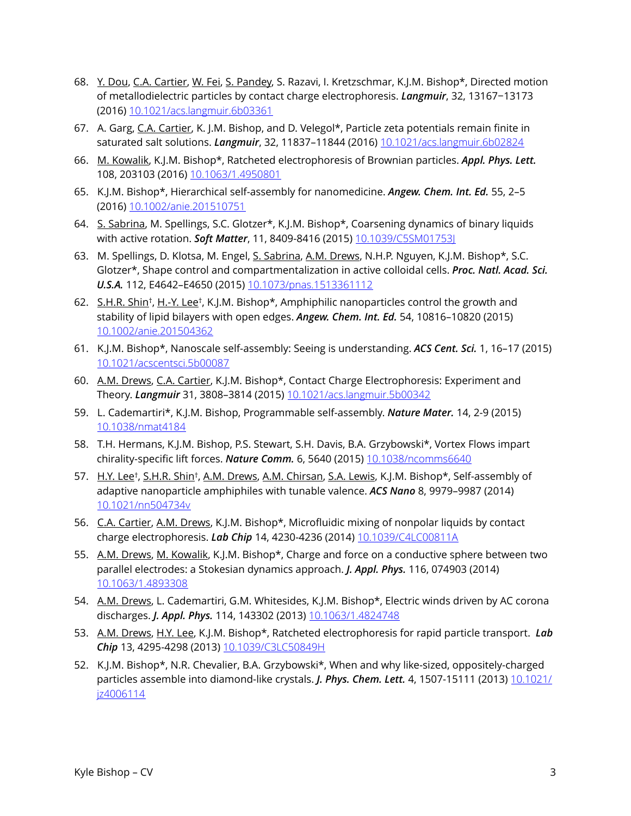- 68. Y. Dou, C.A. Cartier, W. Fei, S. Pandey, S. Razavi, I. Kretzschmar, K.J.M. Bishop\*, Directed motion of metallodielectric particles by contact charge electrophoresis. *Langmuir*, 32, 13167−13173 (2016) [10.1021/acs.langmuir.6b03361](http://www.apple.com)
- 67. A. Garg, C.A. Cartier, K. J.M. Bishop, and D. Velegol\*, Particle zeta potentials remain finite in saturated salt solutions. *Langmuir*, 32, 11837–11844 (2016) [10.1021/acs.langmuir.6b02824](http://doi.org/10.1021/acs.langmuir.6b02824)
- 66. M. Kowalik, K.J.M. Bishop\*, Ratcheted electrophoresis of Brownian particles. *Appl. Phys. Lett.*  108, 203103 (2016) [10.1063/1.4950801](http://scitation.aip.org/content/aip/journal/apl/108/20/10.1063/1.4950801)
- 65. K.J.M. Bishop\*, Hierarchical self-assembly for nanomedicine. *Angew. Chem. Int. Ed.* 55, 2–5 (2016) [10.1002/anie.201510751](http://onlinelibrary.wiley.com/doi/10.1002/anie.201510751/full)
- 64. S. Sabrina, M. Spellings, S.C. Glotzer\*, K.J.M. Bishop\*, Coarsening dynamics of binary liquids with active rotation. *Soft Matter*, 11, 8409-8416 (2015) [10.1039/C5SM01753J](http://pubs.rsc.org/en/content/articlelanding/2015/sm/c5sm01753j#!divAbstract)
- 63. M. Spellings, D. Klotsa, M. Engel, S. Sabrina, A.M. Drews, N.H.P. Nguyen, K.J.M. Bishop\*, S.C. Glotzer\*, Shape control and compartmentalization in active colloidal cells. *Proc. Natl. Acad. Sci. U.S.A.* 112, E4642–E4650 (2015) [10.1073/pnas.1513361112](https://doi.org/10.1073/pnas.1513361112)
- 62. S.H.R. Shin†, H.-Y. Lee†, K.J.M. Bishop\*, Amphiphilic nanoparticles control the growth and stability of lipid bilayers with open edges. *Angew. Chem. Int. Ed.* 54, 10816–10820 (2015) [10.1002/anie.201504362](https://doi.org/10.1002/anie.201504362)
- 61. K.J.M. Bishop\*, Nanoscale self-assembly: Seeing is understanding. *ACS Cent. Sci.* 1, 16–17 (2015) [10.1021/acscentsci.5b00087](https://doi.org/10.1021/acscentsci.5b00087)
- 60. A.M. Drews, C.A. Cartier, K.J.M. Bishop\*, Contact Charge Electrophoresis: Experiment and Theory. *Langmuir* 31, 3808–3814 (2015) [10.1021/acs.langmuir.5b00342](https://doi.org/10.1021/acs.langmuir.5b00342)
- 59. L. Cademartiri\*, K.J.M. Bishop, Programmable self-assembly. *Nature Mater.* 14, 2-9 (2015) [10.1038/nmat4184](https://doi.org/10.1038/nmat4184)
- 58. T.H. Hermans, K.J.M. Bishop, P.S. Stewart, S.H. Davis, B.A. Grzybowski\*, Vortex Flows impart chirality-specific lift forces. *Nature Comm.* 6, 5640 (2015) [10.1038/ncomms6640](https://doi.org/10.1038/ncomms6640)
- 57. H.Y. Lee<sup>†</sup>, S.H.R. Shin<sup>†</sup>, A.M. Drews, A.M. Chirsan, S.A. Lewis, K.J.M. Bishop\*, Self-assembly of adaptive nanoparticle amphiphiles with tunable valence. *ACS Nano* 8, 9979–9987 (2014) [10.1021/nn504734v](https://doi.org/10.1021/nn504734v)
- 56. C.A. Cartier, A.M. Drews, K.J.M. Bishop\*, Microfluidic mixing of nonpolar liquids by contact charge electrophoresis. *Lab Chip* 14, 4230-4236 (2014) [10.1039/C4LC00811A](https://doi.org/10.1039/C4LC00811A)
- 55. A.M. Drews, M. Kowalik, K.J.M. Bishop\*, Charge and force on a conductive sphere between two parallel electrodes: a Stokesian dynamics approach. *J. Appl. Phys.* 116, 074903 (2014) [10.1063/1.4893308](https://doi.org/10.1063/1.4893308)
- 54. A.M. Drews, L. Cademartiri, G.M. Whitesides, K.J.M. Bishop\*, Electric winds driven by AC corona discharges. *J. Appl. Phys.* 114, 143302 (2013) [10.1063/1.4824748](https://doi.org/10.1063/1.4824748)
- 53. A.M. Drews, H.Y. Lee, K.J.M. Bishop\*, Ratcheted electrophoresis for rapid particle transport. *Lab Chip* 13, 4295-4298 (2013) [10.1039/C3LC50849H](https://doi.org/10.1039/C3LC50849H)
- 52. K.J.M. Bishop\*, N.R. Chevalier, B.A. Grzybowski\*, When and why like-sized, oppositely-charged particles assemble into diamond-like crystals. *J. Phys. Chem. Lett.* 4, 1507-15111 (2013) [10.1021/](https://doi.org/10.1021/jz4006114) [jz4006114](https://doi.org/10.1021/jz4006114)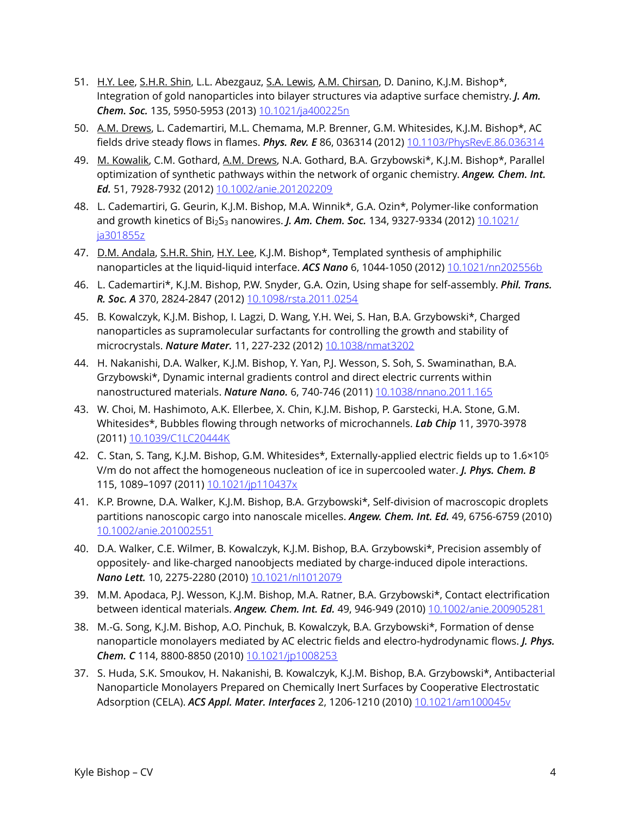- 51. H.Y. Lee, S.H.R. Shin, L.L. Abezgauz, S.A. Lewis, A.M. Chirsan, D. Danino, K.J.M. Bishop\*, Integration of gold nanoparticles into bilayer structures via adaptive surface chemistry. *J. Am. Chem. Soc.* 135, 5950-5953 (2013) [10.1021/ja400225n](https://doi.org/10.1021/ja400225n)
- 50. A.M. Drews, L. Cademartiri, M.L. Chemama, M.P. Brenner, G.M. Whitesides, K.J.M. Bishop\*, AC fields drive steady flows in flames. *Phys. Rev. E* 86, 036314 (2012) [10.1103/PhysRevE.86.036314](https://doi.org/10.1103/PhysRevE.86.036314)
- 49. M. Kowalik, C.M. Gothard, A.M. Drews, N.A. Gothard, B.A. Grzybowski\*, K.J.M. Bishop\*, Parallel optimization of synthetic pathways within the network of organic chemistry. *Angew. Chem. Int. Ed.* 51, 7928-7932 (2012) [10.1002/anie.201202209](https://doi.org/10.1002/anie.201202209)
- 48. L. Cademartiri, G. Geurin, K.J.M. Bishop, M.A. Winnik\*, G.A. Ozin\*, Polymer-like conformation and growth kinetics of Bi<sub>2</sub>S<sub>3</sub> nanowires. *J. Am. Chem. Soc.* 134, 9327-9334 (2012) [10.1021/](https://doi.org/10.1021/ja301855z) [ja301855z](https://doi.org/10.1021/ja301855z)
- 47. D.M. Andala, S.H.R. Shin, H.Y. Lee, K.J.M. Bishop\*, Templated synthesis of amphiphilic nanoparticles at the liquid-liquid interface. *ACS Nano* 6, 1044-1050 (2012) [10.1021/nn202556b](https://doi.org/10.1021/nn202556b)
- 46. L. Cademartiri\*, K.J.M. Bishop, P.W. Snyder, G.A. Ozin, Using shape for self-assembly. *Phil. Trans. R. Soc. A* 370, 2824-2847 (2012) [10.1098/rsta.2011.0254](https://doi.org/10.1098/rsta.2011.0254)
- 45. B. Kowalczyk, K.J.M. Bishop, I. Lagzi, D. Wang, Y.H. Wei, S. Han, B.A. Grzybowski\*, Charged nanoparticles as supramolecular surfactants for controlling the growth and stability of microcrystals. *Nature Mater.* 11, 227-232 (2012) [10.1038/nmat3202](https://doi.org/10.1038/nmat3202)
- 44. H. Nakanishi, D.A. Walker, K.J.M. Bishop, Y. Yan, P.J. Wesson, S. Soh, S. Swaminathan, B.A. Grzybowski\*, Dynamic internal gradients control and direct electric currents within nanostructured materials. *Nature Nano.* 6, 740-746 (2011) [10.1038/nnano.2011.165](https://doi.org/10.1038/nnano.2011.165)
- 43. W. Choi, M. Hashimoto, A.K. Ellerbee, X. Chin, K.J.M. Bishop, P. Garstecki, H.A. Stone, G.M. Whitesides\*, Bubbles flowing through networks of microchannels. *Lab Chip* 11, 3970-3978 (2011) [10.1039/C1LC20444K](https://doi.org/10.1039/C1LC20444K)
- 42. C. Stan, S. Tang, K.J.M. Bishop, G.M. Whitesides\*, Externally-applied electric fields up to 1.6×105 V/m do not affect the homogeneous nucleation of ice in supercooled water. *J. Phys. Chem. B*  115, 1089–1097 (2011) [10.1021/jp110437x](https://doi.org/10.1021/jp110437x)
- 41. K.P. Browne, D.A. Walker, K.J.M. Bishop, B.A. Grzybowski\*, Self-division of macroscopic droplets partitions nanoscopic cargo into nanoscale micelles. *Angew. Chem. Int. Ed.* 49, 6756-6759 (2010) [10.1002/anie.201002551](https://doi.org/10.1002/anie.201002551)
- 40. D.A. Walker, C.E. Wilmer, B. Kowalczyk, K.J.M. Bishop, B.A. Grzybowski\*, Precision assembly of oppositely- and like-charged nanoobjects mediated by charge-induced dipole interactions. *Nano Lett.* 10, 2275-2280 (2010) [10.1021/nl1012079](https://doi.org/10.1021/nl1012079)
- 39. M.M. Apodaca, P.J. Wesson, K.J.M. Bishop, M.A. Ratner, B.A. Grzybowski\*, Contact electrification between identical materials. *Angew. Chem. Int. Ed.* 49, 946-949 (2010) [10.1002/anie.200905281](https://doi.org/10.1002/anie.200905281)
- 38. M.-G. Song, K.J.M. Bishop, A.O. Pinchuk, B. Kowalczyk, B.A. Grzybowski\*, Formation of dense nanoparticle monolayers mediated by AC electric fields and electro-hydrodynamic flows. *J. Phys. Chem. C* 114, 8800-8850 (2010) [10.1021/jp1008253](https://doi.org/10.1021/jp1008253)
- 37. S. Huda, S.K. Smoukov, H. Nakanishi, B. Kowalczyk, K.J.M. Bishop, B.A. Grzybowski\*, Antibacterial Nanoparticle Monolayers Prepared on Chemically Inert Surfaces by Cooperative Electrostatic Adsorption (CELA). *ACS Appl. Mater. Interfaces* 2, 1206-1210 (2010) [10.1021/am100045v](https://doi.org/10.1021/am100045v)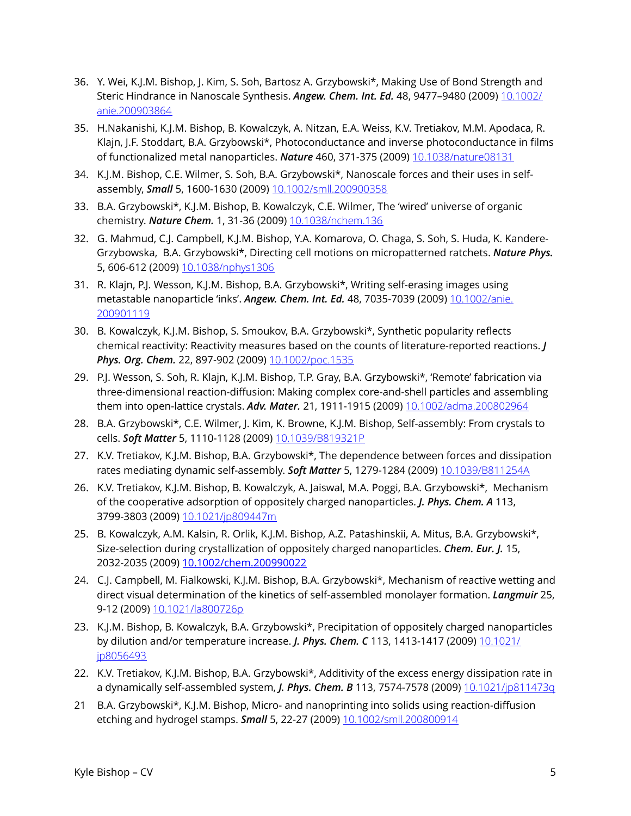- 36. Y. Wei, K.J.M. Bishop, J. Kim, S. Soh, Bartosz A. Grzybowski\*, Making Use of Bond Strength and Steric Hindrance in Nanoscale Synthesis. *Angew. Chem. Int. Ed.* 48, 9477–9480 (2009) [10.1002/](https://doi.org/10.1002/anie.200903864) [anie.200903864](https://doi.org/10.1002/anie.200903864)
- 35. H.Nakanishi, K.J.M. Bishop, B. Kowalczyk, A. Nitzan, E.A. Weiss, K.V. Tretiakov, M.M. Apodaca, R. Klajn, J.F. Stoddart, B.A. Grzybowski\*, Photoconductance and inverse photoconductance in films of functionalized metal nanoparticles. *Nature* 460, 371-375 (2009) [10.1038/nature08131](https://doi.org/10.1038/nature08131)
- 34. K.J.M. Bishop, C.E. Wilmer, S. Soh, B.A. Grzybowski\*, Nanoscale forces and their uses in selfassembly, *Small* 5, 1600-1630 (2009) [10.1002/smll.200900358](https://doi.org/10.1002/smll.200900358)
- 33. B.A. Grzybowski\*, K.J.M. Bishop, B. Kowalczyk, C.E. Wilmer, The 'wired' universe of organic chemistry. *Nature Chem.* 1, 31-36 (2009) [10.1038/nchem.136](https://doi.org/10.1038/nchem.136)
- 32. G. Mahmud, C.J. Campbell, K.J.M. Bishop, Y.A. Komarova, O. Chaga, S. Soh, S. Huda, K. Kandere-Grzybowska, B.A. Grzybowski\*, Directing cell motions on micropatterned ratchets. *Nature Phys.* 5, 606-612 (2009) [10.1038/nphys1306](https://doi.org/10.1038/nphys1306)
- 31. R. Klajn, P.J. Wesson, K.J.M. Bishop, B.A. Grzybowski\*, Writing self-erasing images using metastable nanoparticle 'inks'. *Angew. Chem. Int. Ed.* 48, 7035-7039 (2009) [10.1002/anie.](https://doi.org/10.1002/anie.200901119) [200901119](https://doi.org/10.1002/anie.200901119)
- 30. B. Kowalczyk, K.J.M. Bishop, S. Smoukov, B.A. Grzybowski\*, Synthetic popularity reflects chemical reactivity: Reactivity measures based on the counts of literature-reported reactions. *J Phys. Org. Chem.* 22, 897-902 (2009) [10.1002/poc.1535](https://doi.org/10.1002/poc.1535)
- 29. P.J. Wesson, S. Soh, R. Klajn, K.J.M. Bishop, T.P. Gray, B.A. Grzybowski\*, 'Remote' fabrication via three-dimensional reaction-diffusion: Making complex core-and-shell particles and assembling them into open-lattice crystals. *Adv. Mater.* 21, 1911-1915 (2009) [10.1002/adma.200802964](https://doi.org/10.1002/adma.200802964)
- 28. B.A. Grzybowski\*, C.E. Wilmer, J. Kim, K. Browne, K.J.M. Bishop, Self-assembly: From crystals to cells. *Soft Matter* 5, 1110-1128 (2009) [10.1039/B819321P](https://doi.org/10.1039/B819321P)
- 27. K.V. Tretiakov, K.J.M. Bishop, B.A. Grzybowski\*, The dependence between forces and dissipation rates mediating dynamic self-assembly. *Soft Matter* 5, 1279-1284 (2009) [10.1039/B811254A](https://doi.org/10.1039/B811254A)
- 26. K.V. Tretiakov, K.J.M. Bishop, B. Kowalczyk, A. Jaiswal, M.A. Poggi, B.A. Grzybowski\*, Mechanism of the cooperative adsorption of oppositely charged nanoparticles. *J. Phys. Chem. A* 113, 3799-3803 (2009) [10.1021/jp809447m](https://doi.org/10.1021/jp809447m)
- 25. B. Kowalczyk, A.M. Kalsin, R. Orlik, K.J.M. Bishop, A.Z. Patashinskii, A. Mitus, B.A. Grzybowski\*, Size-selection during crystallization of oppositely charged nanoparticles. *Chem. Eur. J.* 15, 2032-2035 (2009) [10.1002/chem.200990022](https://doi.org/10.1002/chem.200990022)
- 24. C.J. Campbell, M. Fialkowski, K.J.M. Bishop, B.A. Grzybowski\*, Mechanism of reactive wetting and direct visual determination of the kinetics of self-assembled monolayer formation. *Langmuir* 25, 9-12 (2009) [10.1021/la800726p](https://doi.org/10.1021/la800726p)
- 23. K.J.M. Bishop, B. Kowalczyk, B.A. Grzybowski\*, Precipitation of oppositely charged nanoparticles by dilution and/or temperature increase. *J. Phys. Chem. C* 113, 1413-1417 (2009) [10.1021/](https://doi.org/10.1021/jp8056493) [jp8056493](https://doi.org/10.1021/jp8056493)
- 22. K.V. Tretiakov, K.J.M. Bishop, B.A. Grzybowski\*, Additivity of the excess energy dissipation rate in a dynamically self-assembled system, *J. Phys. Chem. B* 113, 7574-7578 (2009) [10.1021/jp811473q](https://doi.org/10.1021/jp811473q)
- 21 B.A. Grzybowski\*, K.J.M. Bishop, Micro- and nanoprinting into solids using reaction-diffusion etching and hydrogel stamps. *Small* 5, 22-27 (2009) [10.1002/smll.200800914](https://doi.org/10.1002/smll.200800914)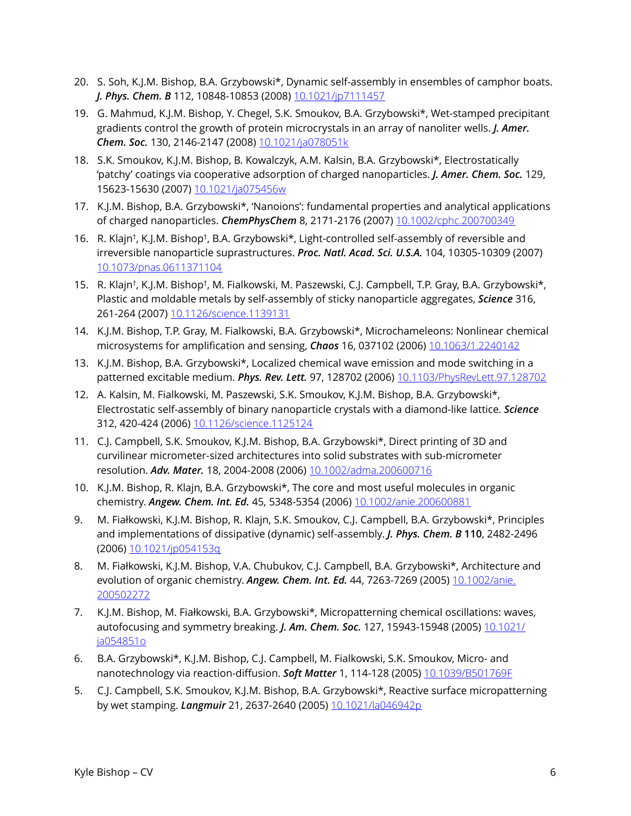- 20. S. Soh, K.J.M. Bishop, B.A. Grzybowski\*, Dynamic self-assembly in ensembles of camphor boats. *J. Phys. Chem. B* 112, 10848-10853 (2008) [10.1021/jp7111457](https://doi.org/10.1021/jp7111457)
- 19. G. Mahmud, K.J.M. Bishop, Y. Chegel, S.K. Smoukov, B.A. Grzybowski\*, Wet-stamped precipitant gradients control the growth of protein microcrystals in an array of nanoliter wells. *J. Amer. Chem. Soc.* 130, 2146-2147 (2008) [10.1021/ja078051k](https://doi.org/10.1021/ja078051k)
- 18. S.K. Smoukov, K.J.M. Bishop, B. Kowalczyk, A.M. Kalsin, B.A. Grzybowski\*, Electrostatically 'patchy' coatings via cooperative adsorption of charged nanoparticles. *J. Amer. Chem. Soc.* 129, 15623-15630 (2007) [10.1021/ja075456w](https://doi.org/10.1021/ja075456w)
- 17. K.J.M. Bishop, B.A. Grzybowski\*, 'Nanoions': fundamental properties and analytical applications of charged nanoparticles. *ChemPhysChem* 8, 2171-2176 (2007) [10.1002/cphc.200700349](https://doi.org/10.1002/cphc.200700349)
- 16. R. Klajn†, K.J.M. Bishop†, B.A. Grzybowski\*, Light-controlled self-assembly of reversible and irreversible nanoparticle suprastructures. *Proc. Natl. Acad. Sci. U.S.A.* 104, 10305-10309 (2007) [10.1073/pnas.0611371104](https://doi.org/10.1073/pnas.0611371104)
- 15. R. Klajn†, K.J.M. Bishop†, M. Fialkowski, M. Paszewski, C.J. Campbell, T.P. Gray, B.A. Grzybowski\*, Plastic and moldable metals by self-assembly of sticky nanoparticle aggregates, *Science* 316, 261-264 (2007) [10.1126/science.1139131](https://doi.org/10.1126/science.1139131)
- 14. K.J.M. Bishop, T.P. Gray, M. Fialkowski, B.A. Grzybowski\*, Microchameleons: Nonlinear chemical microsystems for amplification and sensing, *Chaos* 16, 037102 (2006) [10.1063/1.2240142](https://doi.org/10.1063/1.2240142)
- 13. K.J.M. Bishop, B.A. Grzybowski\*, Localized chemical wave emission and mode switching in a patterned excitable medium. *Phys. Rev. Lett.* 97, 128702 (2006) [10.1103/PhysRevLett.97.128702](https://doi.org/10.1103/PhysRevLett.97.128702)
- 12. A. Kalsin, M. Fialkowski, M. Paszewski, S.K. Smoukov, K.J.M. Bishop, B.A. Grzybowski\*, Electrostatic self-assembly of binary nanoparticle crystals with a diamond-like lattice. *Science* 312, 420-424 (2006) [10.1126/science.1125124](https://doi.org/10.1126/science.1125124)
- 11. C.J. Campbell, S.K. Smoukov, K.J.M. Bishop, B.A. Grzybowski\*, Direct printing of 3D and curvilinear micrometer-sized architectures into solid substrates with sub-micrometer resolution. *Adv. Mater.* 18, 2004-2008 (2006) [10.1002/adma.200600716](https://doi.org/10.1002/adma.200600716)
- 10. K.J.M. Bishop, R. Klajn, B.A. Grzybowski\*, The core and most useful molecules in organic chemistry. *Angew. Chem. Int. Ed.* 45, 5348-5354 (2006) [10.1002/anie.200600881](https://doi.org/10.1002/anie.200600881)
- 9. M. Fiałkowski, K.J.M. Bishop, R. Klajn, S.K. Smoukov, C.J. Campbell, B.A. Grzybowski\*, Principles and implementations of dissipative (dynamic) self-assembly. *J. Phys. Chem. B* **110**, 2482-2496 (2006) [10.1021/jp054153q](https://doi.org/10.1021/jp054153q)
- 8. M. Fiałkowski, K.J.M. Bishop, V.A. Chubukov, C.J. Campbell, B.A. Grzybowski\*, Architecture and evolution of organic chemistry. *Angew. Chem. Int. Ed.* 44, 7263-7269 (2005) [10.1002/anie.](https://doi.org/10.1002/anie.200502272) [200502272](https://doi.org/10.1002/anie.200502272)
- 7. K.J.M. Bishop, M. Fiałkowski, B.A. Grzybowski\*, Micropatterning chemical oscillations: waves, autofocusing and symmetry breaking. *J. Am. Chem. Soc.* 127, 15943-15948 (2005) [10.1021/](https://doi.org/10.1021/ja054851o) [ja054851o](https://doi.org/10.1021/ja054851o)
- 6. B.A. Grzybowski\*, K.J.M. Bishop, C.J. Campbell, M. Fialkowski, S.K. Smoukov, Micro- and nanotechnology via reaction-diffusion. *Soft Matter* 1, 114-128 (2005) [10.1039/B501769F](https://doi.org/10.1039/B501769F)
- 5. C.J. Campbell, S.K. Smoukov, K.J.M. Bishop, B.A. Grzybowski\*, Reactive surface micropatterning by wet stamping. *Langmuir* 21, 2637-2640 (2005) [10.1021/la046942p](https://doi.org/10.1021/la046942p)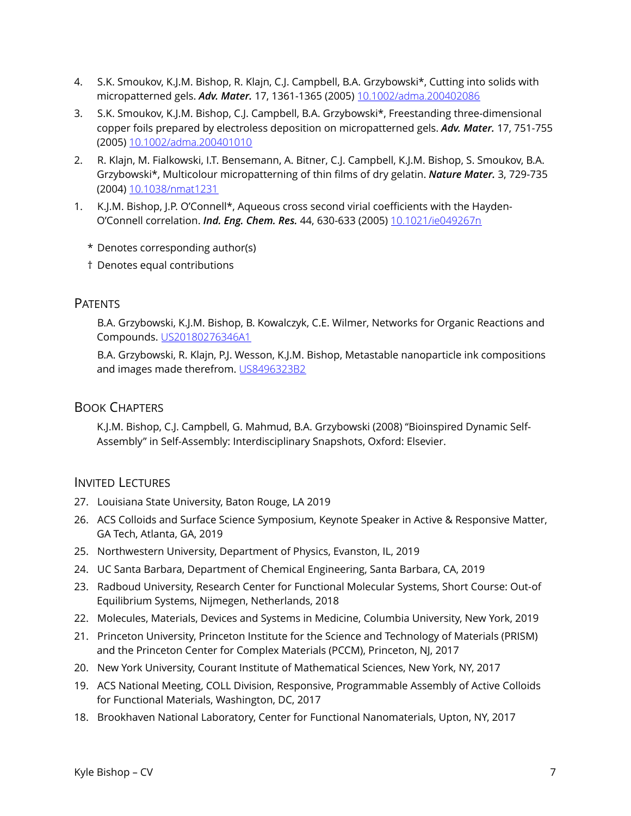- 4. S.K. Smoukov, K.J.M. Bishop, R. Klajn, C.J. Campbell, B.A. Grzybowski\*, Cutting into solids with micropatterned gels. *Adv. Mater.* 17, 1361-1365 (2005) [10.1002/adma.200402086](https://doi.org/10.1002/adma.200402086)
- 3. S.K. Smoukov, K.J.M. Bishop, C.J. Campbell, B.A. Grzybowski\*, Freestanding three-dimensional copper foils prepared by electroless deposition on micropatterned gels. *Adv. Mater.* 17, 751-755 (2005) [10.1002/adma.200401010](https://doi.org/10.1002/adma.200401010)
- 2. R. Klajn, M. Fialkowski, I.T. Bensemann, A. Bitner, C.J. Campbell, K.J.M. Bishop, S. Smoukov, B.A. Grzybowski\*, Multicolour micropatterning of thin films of dry gelatin. *Nature Mater.* 3, 729-735 (2004) [10.1038/nmat1231](https://doi.org/10.1038/nmat1231)
- 1. K.J.M. Bishop, J.P. O'Connell\*, Aqueous cross second virial coefficients with the Hayden-O'Connell correlation. *Ind. Eng. Chem. Res.* 44, 630-633 (2005) [10.1021/ie049267n](https://doi.org/10.1021/ie049267n)
	- \* Denotes corresponding author(s)
	- † Denotes equal contributions

#### **PATENTS**

 B.A. Grzybowski, K.J.M. Bishop, B. Kowalczyk, C.E. Wilmer, Networks for Organic Reactions and Compounds. [US20180276346A1](https://patents.google.com/patent/US20180276346A1/en)

 B.A. Grzybowski, R. Klajn, P.J. Wesson, K.J.M. Bishop, Metastable nanoparticle ink compositions and images made therefrom. [US8496323B2](https://www.google.com/patents/US8496323) 

### BOOK CHAPTERS

K.J.M. Bishop, C.J. Campbell, G. Mahmud, B.A. Grzybowski (2008) "Bioinspired Dynamic Self-Assembly" in Self-Assembly: Interdisciplinary Snapshots, Oxford: Elsevier.

#### INVITED LECTURES

- 27. Louisiana State University, Baton Rouge, LA 2019
- 26. ACS Colloids and Surface Science Symposium, Keynote Speaker in Active & Responsive Matter, GA Tech, Atlanta, GA, 2019
- 25. Northwestern University, Department of Physics, Evanston, IL, 2019
- 24. UC Santa Barbara, Department of Chemical Engineering, Santa Barbara, CA, 2019
- 23. Radboud University, Research Center for Functional Molecular Systems, Short Course: Out-of Equilibrium Systems, Nijmegen, Netherlands, 2018
- 22. Molecules, Materials, Devices and Systems in Medicine, Columbia University, New York, 2019
- 21. Princeton University, Princeton Institute for the Science and Technology of Materials (PRISM) and the Princeton Center for Complex Materials (PCCM), Princeton, NJ, 2017
- 20. New York University, Courant Institute of Mathematical Sciences, New York, NY, 2017
- 19. ACS National Meeting, COLL Division, Responsive, Programmable Assembly of Active Colloids for Functional Materials, Washington, DC, 2017
- 18. Brookhaven National Laboratory, Center for Functional Nanomaterials, Upton, NY, 2017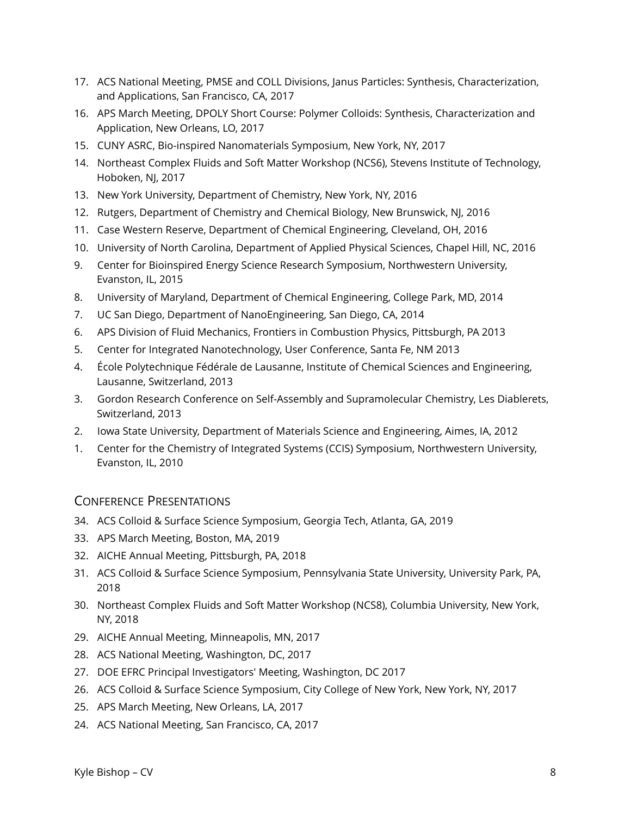- 17. ACS National Meeting, PMSE and COLL Divisions, Janus Particles: Synthesis, Characterization, and Applications, San Francisco, CA, 2017
- 16. APS March Meeting, DPOLY Short Course: Polymer Colloids: Synthesis, Characterization and Application, New Orleans, LO, 2017
- 15. CUNY ASRC, Bio-inspired Nanomaterials Symposium, New York, NY, 2017
- 14. Northeast Complex Fluids and Soft Matter Workshop (NCS6), Stevens Institute of Technology, Hoboken, NJ, 2017
- 13. New York University, Department of Chemistry, New York, NY, 2016
- 12. Rutgers, Department of Chemistry and Chemical Biology, New Brunswick, NJ, 2016
- 11. Case Western Reserve, Department of Chemical Engineering, Cleveland, OH, 2016
- 10. University of North Carolina, Department of Applied Physical Sciences, Chapel Hill, NC, 2016
- 9. Center for Bioinspired Energy Science Research Symposium, Northwestern University, Evanston, IL, 2015
- 8. University of Maryland, Department of Chemical Engineering, College Park, MD, 2014
- 7. UC San Diego, Department of NanoEngineering, San Diego, CA, 2014
- 6. APS Division of Fluid Mechanics, Frontiers in Combustion Physics, Pittsburgh, PA 2013
- 5. Center for Integrated Nanotechnology, User Conference, Santa Fe, NM 2013
- 4. École Polytechnique Fédérale de Lausanne, Institute of Chemical Sciences and Engineering, Lausanne, Switzerland, 2013
- 3. Gordon Research Conference on Self-Assembly and Supramolecular Chemistry, Les Diablerets, Switzerland, 2013
- 2. Iowa State University, Department of Materials Science and Engineering, Aimes, IA, 2012
- 1. Center for the Chemistry of Integrated Systems (CCIS) Symposium, Northwestern University, Evanston, IL, 2010

## CONFERENCE PRESENTATIONS

- 34. ACS Colloid & Surface Science Symposium, Georgia Tech, Atlanta, GA, 2019
- 33. APS March Meeting, Boston, MA, 2019
- 32. AICHE Annual Meeting, Pittsburgh, PA, 2018
- 31. ACS Colloid & Surface Science Symposium, Pennsylvania State University, University Park, PA, 2018
- 30. Northeast Complex Fluids and Soft Matter Workshop (NCS8), Columbia University, New York, NY, 2018
- 29. AICHE Annual Meeting, Minneapolis, MN, 2017
- 28. ACS National Meeting, Washington, DC, 2017
- 27. DOE EFRC Principal Investigators' Meeting, Washington, DC 2017
- 26. ACS Colloid & Surface Science Symposium, City College of New York, New York, NY, 2017
- 25. APS March Meeting, New Orleans, LA, 2017
- 24. ACS National Meeting, San Francisco, CA, 2017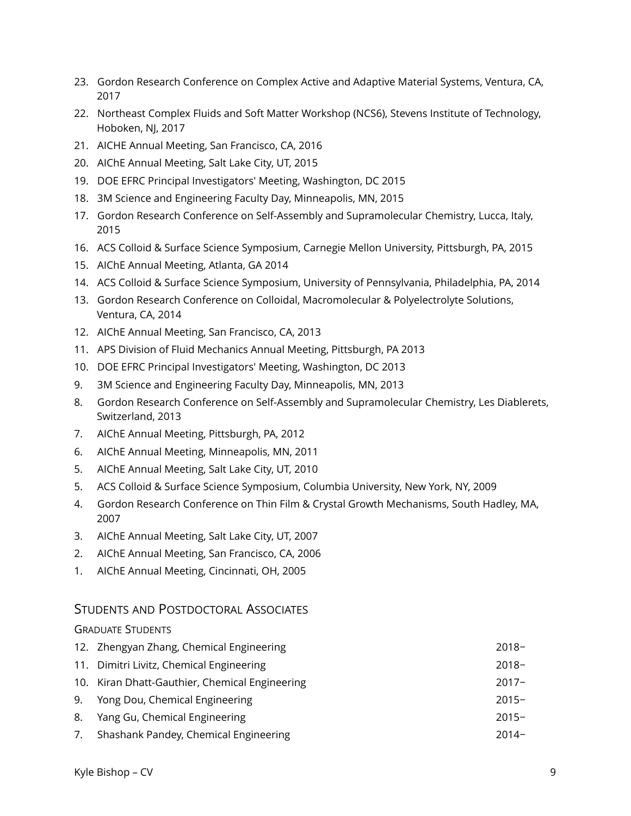- 23. Gordon Research Conference on Complex Active and Adaptive Material Systems, Ventura, CA, 2017
- 22. Northeast Complex Fluids and Soft Matter Workshop (NCS6), Stevens Institute of Technology, Hoboken, NJ, 2017
- 21. AICHE Annual Meeting, San Francisco, CA, 2016
- 20. AIChE Annual Meeting, Salt Lake City, UT, 2015
- 19. DOE EFRC Principal Investigators' Meeting, Washington, DC 2015
- 18. 3M Science and Engineering Faculty Day, Minneapolis, MN, 2015
- 17. Gordon Research Conference on Self-Assembly and Supramolecular Chemistry, Lucca, Italy, 2015
- 16. ACS Colloid & Surface Science Symposium, Carnegie Mellon University, Pittsburgh, PA, 2015
- 15. AIChE Annual Meeting, Atlanta, GA 2014
- 14. ACS Colloid & Surface Science Symposium, University of Pennsylvania, Philadelphia, PA, 2014
- 13. Gordon Research Conference on Colloidal, Macromolecular & Polyelectrolyte Solutions, Ventura, CA, 2014
- 12. AIChE Annual Meeting, San Francisco, CA, 2013
- 11. APS Division of Fluid Mechanics Annual Meeting, Pittsburgh, PA 2013
- 10. DOE EFRC Principal Investigators' Meeting, Washington, DC 2013
- 9. 3M Science and Engineering Faculty Day, Minneapolis, MN, 2013
- 8. Gordon Research Conference on Self-Assembly and Supramolecular Chemistry, Les Diablerets, Switzerland, 2013
- 7. AIChE Annual Meeting, Pittsburgh, PA, 2012
- 6. AIChE Annual Meeting, Minneapolis, MN, 2011
- 5. AIChE Annual Meeting, Salt Lake City, UT, 2010
- 5. ACS Colloid & Surface Science Symposium, Columbia University, New York, NY, 2009
- 4. Gordon Research Conference on Thin Film & Crystal Growth Mechanisms, South Hadley, MA, 2007
- 3. AIChE Annual Meeting, Salt Lake City, UT, 2007
- 2. AIChE Annual Meeting, San Francisco, CA, 2006
- 1. AIChE Annual Meeting, Cincinnati, OH, 2005

## STUDENTS AND POSTDOCTORAL ASSOCIATES

#### GRADUATE STUDENTS

- 12. Zhengyan Zhang, Chemical Engineering 2018− 11. Dimitri Livitz, Chemical Engineering 2018− 10. Kiran Dhatt-Gauthier, Chemical Engineering 2017− 9. Yong Dou, Chemical Engineering 2015− 8. Yang Gu, Chemical Engineering 2015−
- 7. Shashank Pandey, Chemical Engineering 2014−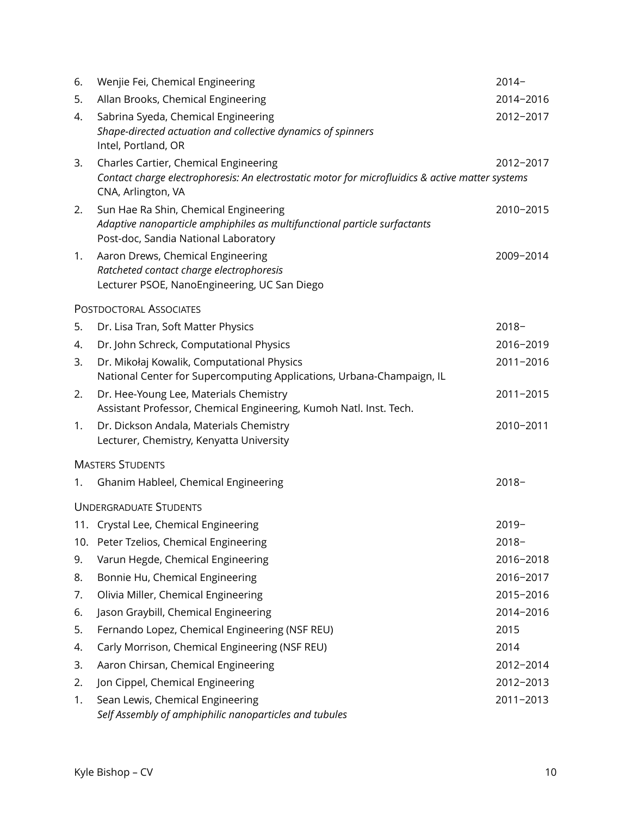| 6.  | Wenjie Fei, Chemical Engineering                                                                                                                                | $2014-$   |
|-----|-----------------------------------------------------------------------------------------------------------------------------------------------------------------|-----------|
| 5.  | Allan Brooks, Chemical Engineering                                                                                                                              | 2014-2016 |
| 4.  | Sabrina Syeda, Chemical Engineering<br>Shape-directed actuation and collective dynamics of spinners<br>Intel, Portland, OR                                      | 2012-2017 |
| 3.  | Charles Cartier, Chemical Engineering<br>Contact charge electrophoresis: An electrostatic motor for microfluidics & active matter systems<br>CNA, Arlington, VA | 2012-2017 |
| 2.  | Sun Hae Ra Shin, Chemical Engineering<br>Adaptive nanoparticle amphiphiles as multifunctional particle surfactants<br>Post-doc, Sandia National Laboratory      | 2010-2015 |
| 1.  | Aaron Drews, Chemical Engineering<br>Ratcheted contact charge electrophoresis<br>Lecturer PSOE, NanoEngineering, UC San Diego                                   | 2009-2014 |
|     | <b>POSTDOCTORAL ASSOCIATES</b>                                                                                                                                  |           |
| 5.  | Dr. Lisa Tran, Soft Matter Physics                                                                                                                              | $2018 -$  |
| 4.  | Dr. John Schreck, Computational Physics                                                                                                                         | 2016-2019 |
| 3.  | Dr. Mikołaj Kowalik, Computational Physics<br>National Center for Supercomputing Applications, Urbana-Champaign, IL                                             | 2011-2016 |
| 2.  | Dr. Hee-Young Lee, Materials Chemistry<br>Assistant Professor, Chemical Engineering, Kumoh Natl. Inst. Tech.                                                    | 2011-2015 |
| 1.  | Dr. Dickson Andala, Materials Chemistry<br>Lecturer, Chemistry, Kenyatta University                                                                             | 2010-2011 |
|     | <b>MASTERS STUDENTS</b>                                                                                                                                         |           |
| 1.  | Ghanim Hableel, Chemical Engineering                                                                                                                            | $2018-$   |
|     | <b>UNDERGRADUATE STUDENTS</b>                                                                                                                                   |           |
|     | 11. Crystal Lee, Chemical Engineering                                                                                                                           | $2019-$   |
| 10. | Peter Tzelios, Chemical Engineering                                                                                                                             | $2018 -$  |
| 9.  | Varun Hegde, Chemical Engineering                                                                                                                               | 2016-2018 |
| 8.  | Bonnie Hu, Chemical Engineering                                                                                                                                 | 2016-2017 |
| 7.  | Olivia Miller, Chemical Engineering                                                                                                                             | 2015-2016 |
| 6.  | Jason Graybill, Chemical Engineering                                                                                                                            | 2014-2016 |
| 5.  | Fernando Lopez, Chemical Engineering (NSF REU)                                                                                                                  | 2015      |
| 4.  | Carly Morrison, Chemical Engineering (NSF REU)                                                                                                                  | 2014      |
| 3.  | Aaron Chirsan, Chemical Engineering                                                                                                                             | 2012-2014 |
| 2.  | Jon Cippel, Chemical Engineering                                                                                                                                | 2012-2013 |
| 1.  | Sean Lewis, Chemical Engineering<br>Self Assembly of amphiphilic nanoparticles and tubules                                                                      | 2011-2013 |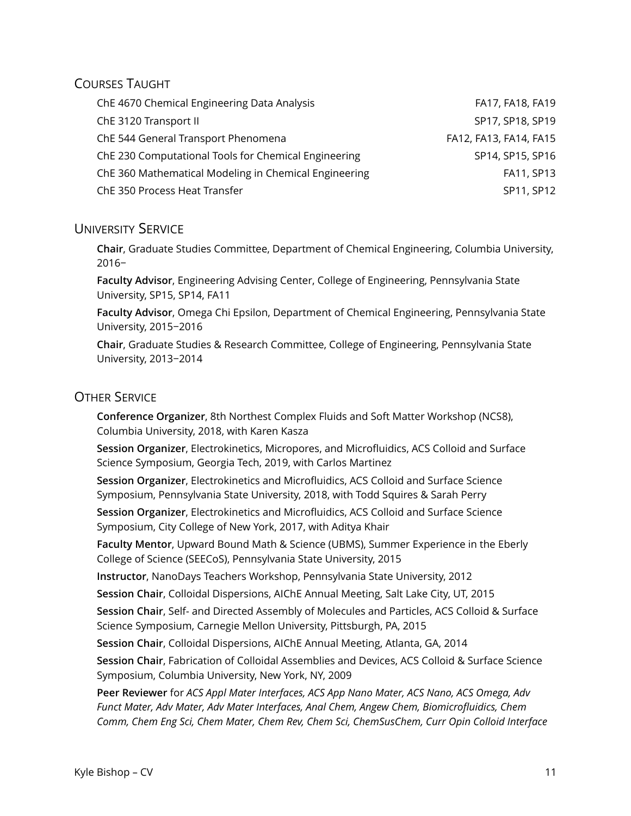## COURSES TAUGHT

| ChE 4670 Chemical Engineering Data Analysis           | FA17, FA18, FA19       |
|-------------------------------------------------------|------------------------|
| ChE 3120 Transport II                                 | SP17, SP18, SP19       |
| ChE 544 General Transport Phenomena                   | FA12, FA13, FA14, FA15 |
| ChE 230 Computational Tools for Chemical Engineering  | SP14, SP15, SP16       |
| ChE 360 Mathematical Modeling in Chemical Engineering | FA11, SP13             |
| ChE 350 Process Heat Transfer                         | SP11, SP12             |

## UNIVERSITY SERVICE

**Chair**, Graduate Studies Committee, Department of Chemical Engineering, Columbia University, 2016−

**Faculty Advisor**, Engineering Advising Center, College of Engineering, Pennsylvania State University, SP15, SP14, FA11

**Faculty Advisor**, Omega Chi Epsilon, Department of Chemical Engineering, Pennsylvania State University, 2015−2016

**Chair**, Graduate Studies & Research Committee, College of Engineering, Pennsylvania State University, 2013−2014

## OTHER SERVICE

**Conference Organizer**, 8th Northest Complex Fluids and Soft Matter Workshop (NCS8), Columbia University, 2018, with Karen Kasza

**Session Organizer**, Electrokinetics, Micropores, and Microfluidics, ACS Colloid and Surface Science Symposium, Georgia Tech, 2019, with Carlos Martinez

**Session Organizer**, Electrokinetics and Microfluidics, ACS Colloid and Surface Science Symposium, Pennsylvania State University, 2018, with Todd Squires & Sarah Perry

**Session Organizer**, Electrokinetics and Microfluidics, ACS Colloid and Surface Science Symposium, City College of New York, 2017, with Aditya Khair

**Faculty Mentor**, Upward Bound Math & Science (UBMS), Summer Experience in the Eberly College of Science (SEECoS), Pennsylvania State University, 2015

**Instructor**, NanoDays Teachers Workshop, Pennsylvania State University, 2012

**Session Chair**, Colloidal Dispersions, AIChE Annual Meeting, Salt Lake City, UT, 2015

**Session Chair**, Self- and Directed Assembly of Molecules and Particles, ACS Colloid & Surface Science Symposium, Carnegie Mellon University, Pittsburgh, PA, 2015

**Session Chair**, Colloidal Dispersions, AIChE Annual Meeting, Atlanta, GA, 2014

**Session Chair**, Fabrication of Colloidal Assemblies and Devices, ACS Colloid & Surface Science Symposium, Columbia University, New York, NY, 2009

**Peer Reviewer** for *ACS Appl Mater Interfaces, ACS App Nano Mater, ACS Nano, ACS Omega, Adv Funct Mater, Adv Mater, Adv Mater Interfaces, Anal Chem, Angew Chem, Biomicrofluidics, Chem Comm, Chem Eng Sci, Chem Mater, Chem Rev, Chem Sci, ChemSusChem, Curr Opin Colloid Interface*